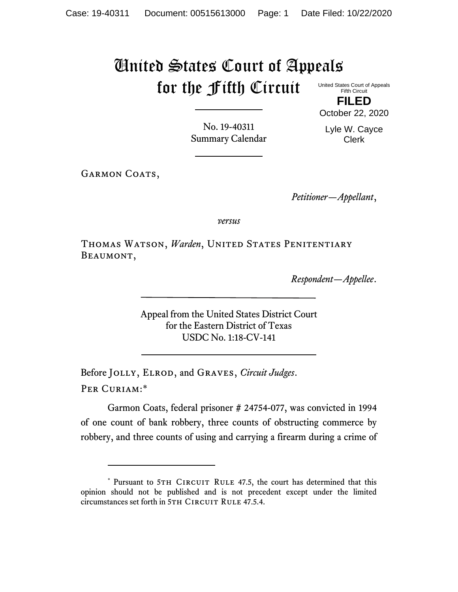## United States Court of Appeals for the Fifth Circuit

United States Court of Appeals Fifth Circuit **FILED**

No. 19-40311 Summary Calendar Lyle W. Cayce Clerk

October 22, 2020

GARMON COATS,

*Petitioner—Appellant*,

*versus*

THOMAS WATSON, Warden, UNITED STATES PENITENTIARY Beaumont,

*Respondent—Appellee*.

Appeal from the United States District Court for the Eastern District of Texas USDC No. 1:18-CV-141

Before Jolly, Elrod, and Graves, *Circuit Judges*. Per Curiam:\*

Garmon Coats, federal prisoner # 24754-077, was convicted in 1994 of one count of bank robbery, three counts of obstructing commerce by robbery, and three counts of using and carrying a firearm during a crime of

<sup>\*</sup> Pursuant to 5TH CIRCUIT RULE 47.5, the court has determined that this opinion should not be published and is not precedent except under the limited circumstances set forth in 5TH CIRCUIT RULE 47.5.4.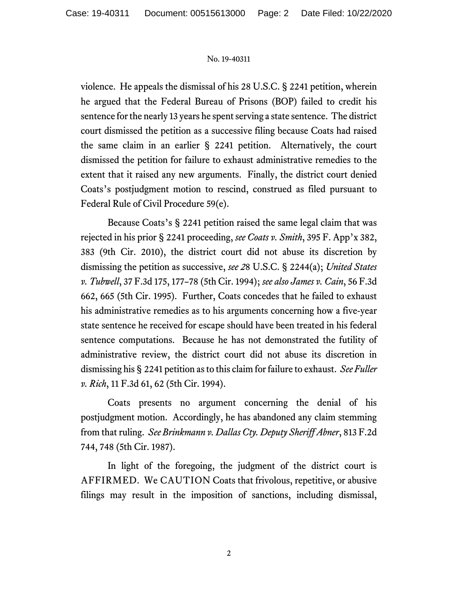## No. 19-40311

violence. He appeals the dismissal of his 28 U.S.C. § 2241 petition, wherein he argued that the Federal Bureau of Prisons (BOP) failed to credit his sentence for the nearly 13 years he spent serving a state sentence. The district court dismissed the petition as a successive filing because Coats had raised the same claim in an earlier § 2241 petition. Alternatively, the court dismissed the petition for failure to exhaust administrative remedies to the extent that it raised any new arguments. Finally, the district court denied Coats's postjudgment motion to rescind, construed as filed pursuant to Federal Rule of Civil Procedure 59(e).

Because Coats's § 2241 petition raised the same legal claim that was rejected in his prior § 2241 proceeding, *see Coats v. Smith*, 395 F. App'x 382, 383 (9th Cir. 2010), the district court did not abuse its discretion by dismissing the petition as successive, *see 2*8 U.S.C. § 2244(a); *United States v. Tubwell*, 37 F.3d 175, 177–78 (5th Cir. 1994); *see also James v. Cain*, 56 F.3d 662, 665 (5th Cir. 1995). Further, Coats concedes that he failed to exhaust his administrative remedies as to his arguments concerning how a five-year state sentence he received for escape should have been treated in his federal sentence computations. Because he has not demonstrated the futility of administrative review, the district court did not abuse its discretion in dismissing his § 2241 petition as to this claim for failure to exhaust. *See Fuller v. Rich*, 11 F.3d 61, 62 (5th Cir. 1994).

Coats presents no argument concerning the denial of his postjudgment motion. Accordingly, he has abandoned any claim stemming from that ruling. *See Brinkmann v. Dallas Cty. Deputy Sheriff Abner*, 813 F.2d 744, 748 (5th Cir. 1987).

In light of the foregoing, the judgment of the district court is AFFIRMED. We CAUTION Coats that frivolous, repetitive, or abusive filings may result in the imposition of sanctions, including dismissal,